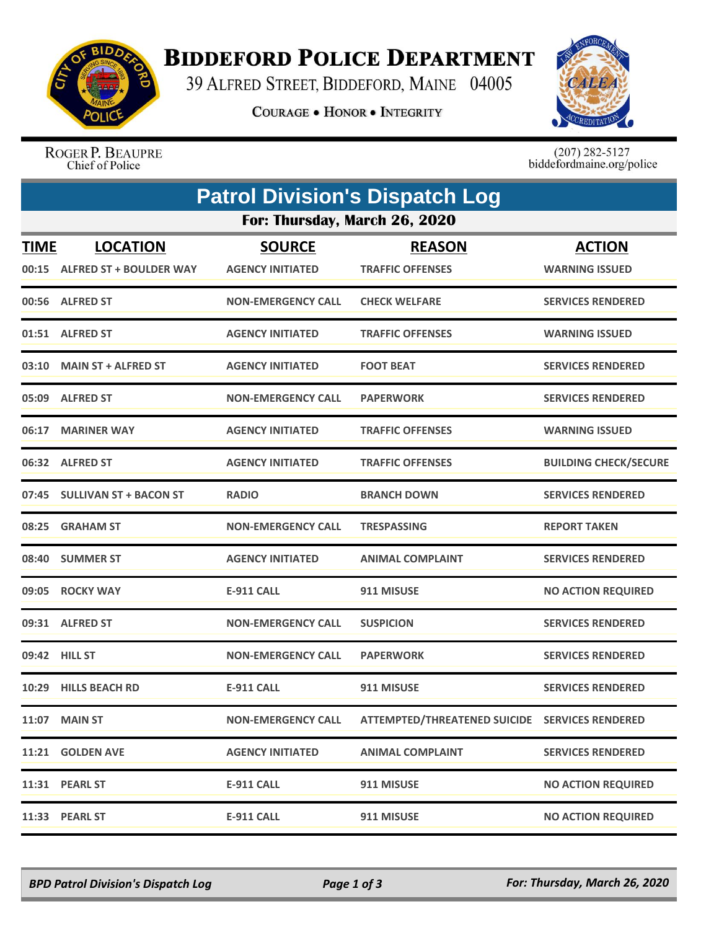

## **BIDDEFORD POLICE DEPARTMENT**

39 ALFRED STREET, BIDDEFORD, MAINE 04005

**COURAGE . HONOR . INTEGRITY** 



ROGER P. BEAUPRE Chief of Police

 $(207)$  282-5127<br>biddefordmaine.org/police

|             | <b>Patrol Division's Dispatch Log</b> |                               |                                                |                              |  |  |  |  |
|-------------|---------------------------------------|-------------------------------|------------------------------------------------|------------------------------|--|--|--|--|
|             |                                       | For: Thursday, March 26, 2020 |                                                |                              |  |  |  |  |
| <b>TIME</b> | <b>LOCATION</b>                       | <b>SOURCE</b>                 | <b>REASON</b>                                  | <b>ACTION</b>                |  |  |  |  |
|             | 00:15 ALFRED ST + BOULDER WAY         | <b>AGENCY INITIATED</b>       | <b>TRAFFIC OFFENSES</b>                        | <b>WARNING ISSUED</b>        |  |  |  |  |
|             | 00:56 ALFRED ST                       | <b>NON-EMERGENCY CALL</b>     | <b>CHECK WELFARE</b>                           | <b>SERVICES RENDERED</b>     |  |  |  |  |
|             | 01:51 ALFRED ST                       | <b>AGENCY INITIATED</b>       | <b>TRAFFIC OFFENSES</b>                        | <b>WARNING ISSUED</b>        |  |  |  |  |
|             | 03:10 MAIN ST + ALFRED ST             | <b>AGENCY INITIATED</b>       | <b>FOOT BEAT</b>                               | <b>SERVICES RENDERED</b>     |  |  |  |  |
|             | 05:09 ALFRED ST                       | <b>NON-EMERGENCY CALL</b>     | <b>PAPERWORK</b>                               | <b>SERVICES RENDERED</b>     |  |  |  |  |
|             | 06:17 MARINER WAY                     | <b>AGENCY INITIATED</b>       | <b>TRAFFIC OFFENSES</b>                        | <b>WARNING ISSUED</b>        |  |  |  |  |
|             | 06:32 ALFRED ST                       | <b>AGENCY INITIATED</b>       | <b>TRAFFIC OFFENSES</b>                        | <b>BUILDING CHECK/SECURE</b> |  |  |  |  |
|             | 07:45 SULLIVAN ST + BACON ST          | <b>RADIO</b>                  | <b>BRANCH DOWN</b>                             | <b>SERVICES RENDERED</b>     |  |  |  |  |
| 08:25       | <b>GRAHAM ST</b>                      | <b>NON-EMERGENCY CALL</b>     | <b>TRESPASSING</b>                             | <b>REPORT TAKEN</b>          |  |  |  |  |
|             | 08:40 SUMMER ST                       | <b>AGENCY INITIATED</b>       | <b>ANIMAL COMPLAINT</b>                        | <b>SERVICES RENDERED</b>     |  |  |  |  |
| 09:05       | <b>ROCKY WAY</b>                      | <b>E-911 CALL</b>             | 911 MISUSE                                     | <b>NO ACTION REQUIRED</b>    |  |  |  |  |
|             | 09:31 ALFRED ST                       | <b>NON-EMERGENCY CALL</b>     | <b>SUSPICION</b>                               | <b>SERVICES RENDERED</b>     |  |  |  |  |
|             | 09:42 HILL ST                         | <b>NON-EMERGENCY CALL</b>     | <b>PAPERWORK</b>                               | <b>SERVICES RENDERED</b>     |  |  |  |  |
| 10:29       | <b>HILLS BEACH RD</b>                 | <b>E-911 CALL</b>             | 911 MISUSE                                     | <b>SERVICES RENDERED</b>     |  |  |  |  |
|             | 11:07 MAIN ST                         | <b>NON-EMERGENCY CALL</b>     | ATTEMPTED/THREATENED SUICIDE SERVICES RENDERED |                              |  |  |  |  |
|             | 11:21 GOLDEN AVE                      | <b>AGENCY INITIATED</b>       | <b>ANIMAL COMPLAINT</b>                        | <b>SERVICES RENDERED</b>     |  |  |  |  |
|             | 11:31 PEARL ST                        | <b>E-911 CALL</b>             | 911 MISUSE                                     | <b>NO ACTION REQUIRED</b>    |  |  |  |  |
|             | 11:33 PEARL ST                        | <b>E-911 CALL</b>             | 911 MISUSE                                     | <b>NO ACTION REQUIRED</b>    |  |  |  |  |

*BPD Patrol Division's Dispatch Log Page 1 of 3 For: Thursday, March 26, 2020*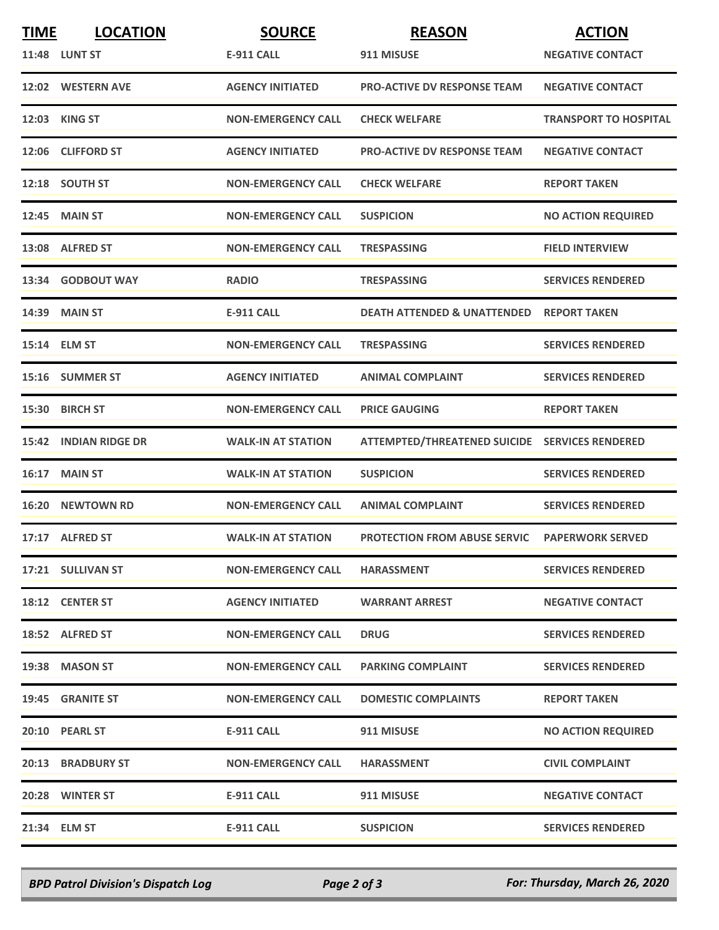| <b>TIME</b> | <b>LOCATION</b>          | <b>SOURCE</b>             | <b>REASON</b>                                  | <b>ACTION</b>                |
|-------------|--------------------------|---------------------------|------------------------------------------------|------------------------------|
|             | <b>11:48 LUNT ST</b>     | <b>E-911 CALL</b>         | 911 MISUSE                                     | <b>NEGATIVE CONTACT</b>      |
|             | 12:02 WESTERN AVE        | <b>AGENCY INITIATED</b>   | <b>PRO-ACTIVE DV RESPONSE TEAM</b>             | <b>NEGATIVE CONTACT</b>      |
|             | 12:03 KING ST            | <b>NON-EMERGENCY CALL</b> | <b>CHECK WELFARE</b>                           | <b>TRANSPORT TO HOSPITAL</b> |
|             | 12:06 CLIFFORD ST        | <b>AGENCY INITIATED</b>   | <b>PRO-ACTIVE DV RESPONSE TEAM</b>             | <b>NEGATIVE CONTACT</b>      |
|             | 12:18 SOUTH ST           | <b>NON-EMERGENCY CALL</b> | <b>CHECK WELFARE</b>                           | <b>REPORT TAKEN</b>          |
|             | <b>12:45 MAIN ST</b>     | <b>NON-EMERGENCY CALL</b> | <b>SUSPICION</b>                               | <b>NO ACTION REQUIRED</b>    |
|             | 13:08 ALFRED ST          | <b>NON-EMERGENCY CALL</b> | <b>TRESPASSING</b>                             | <b>FIELD INTERVIEW</b>       |
|             | 13:34 GODBOUT WAY        | <b>RADIO</b>              | <b>TRESPASSING</b>                             | <b>SERVICES RENDERED</b>     |
|             | 14:39 MAIN ST            | <b>E-911 CALL</b>         | <b>DEATH ATTENDED &amp; UNATTENDED</b>         | <b>REPORT TAKEN</b>          |
|             | 15:14 ELM ST             | <b>NON-EMERGENCY CALL</b> | <b>TRESPASSING</b>                             | <b>SERVICES RENDERED</b>     |
|             | 15:16 SUMMER ST          | <b>AGENCY INITIATED</b>   | <b>ANIMAL COMPLAINT</b>                        | <b>SERVICES RENDERED</b>     |
|             | 15:30 BIRCH ST           | <b>NON-EMERGENCY CALL</b> | <b>PRICE GAUGING</b>                           | <b>REPORT TAKEN</b>          |
|             | 15:42 INDIAN RIDGE DR    | <b>WALK-IN AT STATION</b> | ATTEMPTED/THREATENED SUICIDE SERVICES RENDERED |                              |
|             | 16:17 MAIN ST            | <b>WALK-IN AT STATION</b> | <b>SUSPICION</b>                               | <b>SERVICES RENDERED</b>     |
| 16:20       | <b>NEWTOWN RD</b>        | <b>NON-EMERGENCY CALL</b> | <b>ANIMAL COMPLAINT</b>                        | <b>SERVICES RENDERED</b>     |
|             | 17:17 ALFRED ST          | <b>WALK-IN AT STATION</b> | <b>PROTECTION FROM ABUSE SERVIC</b>            | <b>PAPERWORK SERVED</b>      |
|             | 17:21 SULLIVAN ST        | <b>NON-EMERGENCY CALL</b> | <b>HARASSMENT</b>                              | <b>SERVICES RENDERED</b>     |
|             | 18:12 CENTER ST          | <b>AGENCY INITIATED</b>   | <b>WARRANT ARREST</b>                          | <b>NEGATIVE CONTACT</b>      |
|             | 18:52 ALFRED ST          | <b>NON-EMERGENCY CALL</b> | <b>DRUG</b>                                    | <b>SERVICES RENDERED</b>     |
|             | 19:38 MASON ST           | <b>NON-EMERGENCY CALL</b> | <b>PARKING COMPLAINT</b>                       | <b>SERVICES RENDERED</b>     |
|             | 19:45 GRANITE ST         | <b>NON-EMERGENCY CALL</b> | <b>DOMESTIC COMPLAINTS</b>                     | <b>REPORT TAKEN</b>          |
|             | 20:10 PEARL ST           | E-911 CALL                | 911 MISUSE                                     | <b>NO ACTION REQUIRED</b>    |
|             | <b>20:13 BRADBURY ST</b> | <b>NON-EMERGENCY CALL</b> | <b>HARASSMENT</b>                              | <b>CIVIL COMPLAINT</b>       |
|             | 20:28 WINTER ST          | <b>E-911 CALL</b>         | 911 MISUSE                                     | <b>NEGATIVE CONTACT</b>      |
|             | 21:34 ELM ST             | E-911 CALL                | <b>SUSPICION</b>                               | <b>SERVICES RENDERED</b>     |

*BPD Patrol Division's Dispatch Log Page 2 of 3 For: Thursday, March 26, 2020*